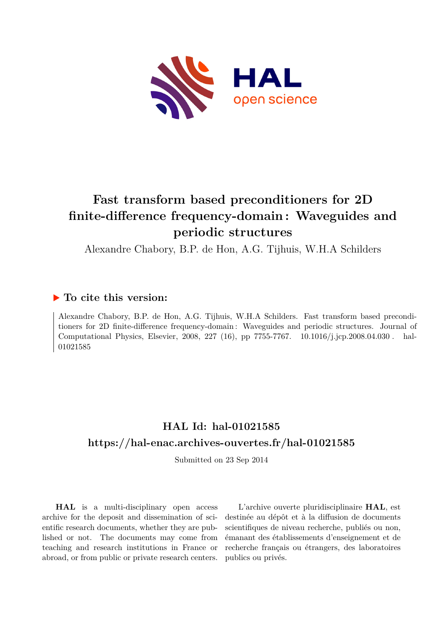

## **Fast transform based preconditioners for 2D finite-difference frequency-domain : Waveguides and periodic structures**

Alexandre Chabory, B.P. de Hon, A.G. Tijhuis, W.H.A Schilders

### **To cite this version:**

Alexandre Chabory, B.P. de Hon, A.G. Tijhuis, W.H.A Schilders. Fast transform based preconditioners for 2D finite-difference frequency-domain : Waveguides and periodic structures. Journal of Computational Physics, Elsevier, 2008, 227 (16), pp 7755-7767. 10.1016/j.jcp.2008.04.030. hal-01021585

## **HAL Id: hal-01021585 <https://hal-enac.archives-ouvertes.fr/hal-01021585>**

Submitted on 23 Sep 2014

**HAL** is a multi-disciplinary open access archive for the deposit and dissemination of scientific research documents, whether they are published or not. The documents may come from teaching and research institutions in France or abroad, or from public or private research centers.

L'archive ouverte pluridisciplinaire **HAL**, est destinée au dépôt et à la diffusion de documents scientifiques de niveau recherche, publiés ou non, émanant des établissements d'enseignement et de recherche français ou étrangers, des laboratoires publics ou privés.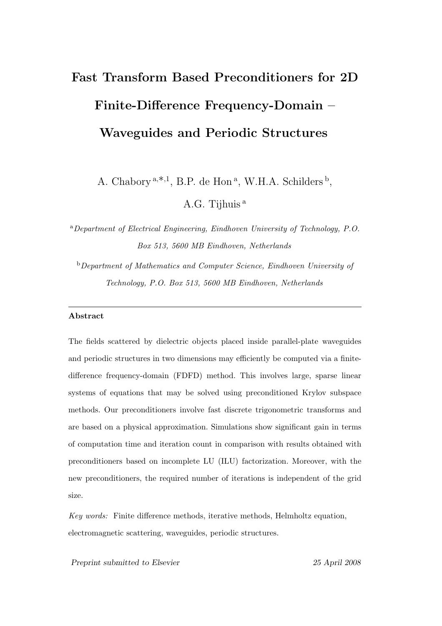# Fast Transform Based Preconditioners for 2D Finite-Difference Frequency-Domain – Waveguides and Periodic Structures

A. Chabory<sup>a,\*,1</sup>, B.P. de Hon<sup>a</sup>, W.H.A. Schilders<sup>b</sup>,

A.G. Tijhuis <sup>a</sup>

<sup>a</sup>*Department of Electrical Engineering, Eindhoven University of Technology, P.O. Box 513, 5600 MB Eindhoven, Netherlands*

<sup>b</sup>*Department of Mathematics and Computer Science, Eindhoven University of Technology, P.O. Box 513, 5600 MB Eindhoven, Netherlands*

#### Abstract

The fields scattered by dielectric objects placed inside parallel-plate waveguides and periodic structures in two dimensions may efficiently be computed via a finitedifference frequency-domain (FDFD) method. This involves large, sparse linear systems of equations that may be solved using preconditioned Krylov subspace methods. Our preconditioners involve fast discrete trigonometric transforms and are based on a physical approximation. Simulations show significant gain in terms of computation time and iteration count in comparison with results obtained with preconditioners based on incomplete LU (ILU) factorization. Moreover, with the new preconditioners, the required number of iterations is independent of the grid size.

*Key words:* Finite difference methods, iterative methods, Helmholtz equation, electromagnetic scattering, waveguides, periodic structures.

Preprint submitted to Elsevier 25 April 2008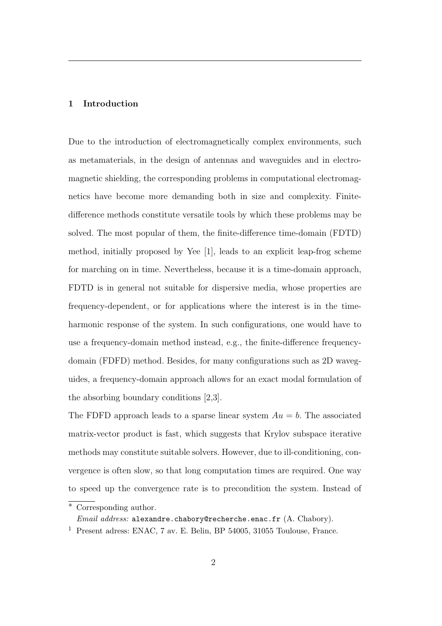#### 1 Introduction

Due to the introduction of electromagnetically complex environments, such as metamaterials, in the design of antennas and waveguides and in electromagnetic shielding, the corresponding problems in computational electromagnetics have become more demanding both in size and complexity. Finitedifference methods constitute versatile tools by which these problems may be solved. The most popular of them, the finite-difference time-domain (FDTD) method, initially proposed by Yee [1], leads to an explicit leap-frog scheme for marching on in time. Nevertheless, because it is a time-domain approach, FDTD is in general not suitable for dispersive media, whose properties are frequency-dependent, or for applications where the interest is in the timeharmonic response of the system. In such configurations, one would have to use a frequency-domain method instead, e.g., the finite-difference frequencydomain (FDFD) method. Besides, for many configurations such as 2D waveguides, a frequency-domain approach allows for an exact modal formulation of the absorbing boundary conditions [2,3].

The FDFD approach leads to a sparse linear system  $Au = b$ . The associated matrix-vector product is fast, which suggests that Krylov subspace iterative methods may constitute suitable solvers. However, due to ill-conditioning, convergence is often slow, so that long computation times are required. One way to speed up the convergence rate is to precondition the system. Instead of

Corresponding author.

*Email address:* alexandre.chabory@recherche.enac.fr (A. Chabory).

<sup>1</sup> Present adress: ENAC, 7 av. E. Belin, BP 54005, 31055 Toulouse, France.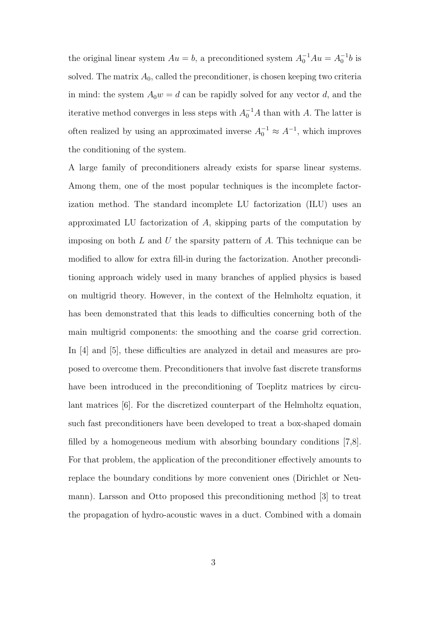the original linear system  $Au = b$ , a preconditioned system  $A_0^{-1}Au = A_0^{-1}b$  is solved. The matrix  $A_0$ , called the preconditioner, is chosen keeping two criteria in mind: the system  $A_0w = d$  can be rapidly solved for any vector d, and the iterative method converges in less steps with  $A_0^{-1}A$  than with A. The latter is often realized by using an approximated inverse  $A_0^{-1} \approx A^{-1}$ , which improves the conditioning of the system.

A large family of preconditioners already exists for sparse linear systems. Among them, one of the most popular techniques is the incomplete factorization method. The standard incomplete LU factorization (ILU) uses an approximated LU factorization of A, skipping parts of the computation by imposing on both  $L$  and  $U$  the sparsity pattern of  $A$ . This technique can be modified to allow for extra fill-in during the factorization. Another preconditioning approach widely used in many branches of applied physics is based on multigrid theory. However, in the context of the Helmholtz equation, it has been demonstrated that this leads to difficulties concerning both of the main multigrid components: the smoothing and the coarse grid correction. In [4] and [5], these difficulties are analyzed in detail and measures are proposed to overcome them. Preconditioners that involve fast discrete transforms have been introduced in the preconditioning of Toeplitz matrices by circulant matrices [6]. For the discretized counterpart of the Helmholtz equation, such fast preconditioners have been developed to treat a box-shaped domain filled by a homogeneous medium with absorbing boundary conditions [7,8]. For that problem, the application of the preconditioner effectively amounts to replace the boundary conditions by more convenient ones (Dirichlet or Neumann). Larsson and Otto proposed this preconditioning method [3] to treat the propagation of hydro-acoustic waves in a duct. Combined with a domain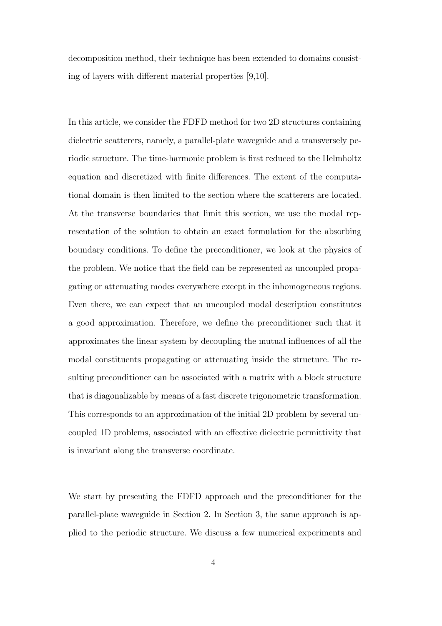decomposition method, their technique has been extended to domains consisting of layers with different material properties [9,10].

In this article, we consider the FDFD method for two 2D structures containing dielectric scatterers, namely, a parallel-plate waveguide and a transversely periodic structure. The time-harmonic problem is first reduced to the Helmholtz equation and discretized with finite differences. The extent of the computational domain is then limited to the section where the scatterers are located. At the transverse boundaries that limit this section, we use the modal representation of the solution to obtain an exact formulation for the absorbing boundary conditions. To define the preconditioner, we look at the physics of the problem. We notice that the field can be represented as uncoupled propagating or attenuating modes everywhere except in the inhomogeneous regions. Even there, we can expect that an uncoupled modal description constitutes a good approximation. Therefore, we define the preconditioner such that it approximates the linear system by decoupling the mutual influences of all the modal constituents propagating or attenuating inside the structure. The resulting preconditioner can be associated with a matrix with a block structure that is diagonalizable by means of a fast discrete trigonometric transformation. This corresponds to an approximation of the initial 2D problem by several uncoupled 1D problems, associated with an effective dielectric permittivity that is invariant along the transverse coordinate.

We start by presenting the FDFD approach and the preconditioner for the parallel-plate waveguide in Section 2. In Section 3, the same approach is applied to the periodic structure. We discuss a few numerical experiments and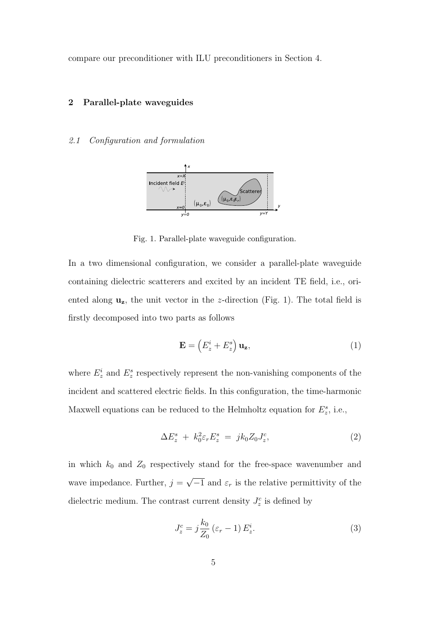compare our preconditioner with ILU preconditioners in Section 4.

#### 2 Parallel-plate waveguides

#### 2.1 Configuration and formulation



Fig. 1. Parallel-plate waveguide configuration.

In a two dimensional configuration, we consider a parallel-plate waveguide containing dielectric scatterers and excited by an incident TE field, i.e., oriented along  $\mathbf{u}_z$ , the unit vector in the z-direction (Fig. 1). The total field is firstly decomposed into two parts as follows

$$
\mathbf{E} = \left(E_z^i + E_z^s\right) \mathbf{u}_z,\tag{1}
$$

where  $E_z^i$  and  $E_z^s$  respectively represent the non-vanishing components of the incident and scattered electric fields. In this configuration, the time-harmonic Maxwell equations can be reduced to the Helmholtz equation for  $E_z^s$ , i.e.,

$$
\Delta E_z^s + k_0^2 \varepsilon_r E_z^s = j k_0 Z_0 J_z^c, \tag{2}
$$

in which  $k_0$  and  $Z_0$  respectively stand for the free-space wavenumber and wave impedance. Further,  $j = \sqrt{-1}$  and  $\varepsilon_r$  is the relative permittivity of the dielectric medium. The contrast current density  $J_z^c$  is defined by

$$
J_z^c = j\frac{k_0}{Z_0} \left(\varepsilon_r - 1\right) E_z^i. \tag{3}
$$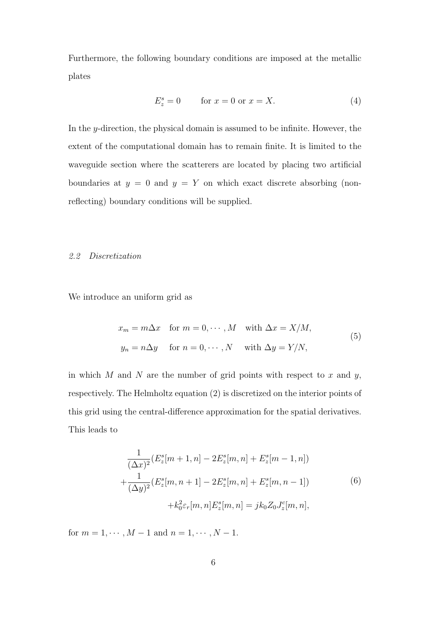Furthermore, the following boundary conditions are imposed at the metallic plates

$$
E_z^s = 0 \qquad \text{for } x = 0 \text{ or } x = X. \tag{4}
$$

In the y-direction, the physical domain is assumed to be infinite. However, the extent of the computational domain has to remain finite. It is limited to the waveguide section where the scatterers are located by placing two artificial boundaries at  $y = 0$  and  $y = Y$  on which exact discrete absorbing (nonreflecting) boundary conditions will be supplied.

#### 2.2 Discretization

We introduce an uniform grid as

$$
x_m = m\Delta x \quad \text{for } m = 0, \cdots, M \quad \text{with } \Delta x = X/M,
$$
  

$$
y_n = n\Delta y \quad \text{for } n = 0, \cdots, N \quad \text{with } \Delta y = Y/N,
$$
 (5)

in which  $M$  and  $N$  are the number of grid points with respect to  $x$  and  $y$ , respectively. The Helmholtz equation (2) is discretized on the interior points of this grid using the central-difference approximation for the spatial derivatives. This leads to

$$
\frac{1}{(\Delta x)^2} (E_z^s[m+1,n] - 2E_z^s[m,n] + E_z^s[m-1,n])
$$

$$
+\frac{1}{(\Delta y)^2} (E_z^s[m,n+1] - 2E_z^s[m,n] + E_z^s[m,n-1])
$$
(6)
$$
+k_0^2 \varepsilon_r[m,n] E_z^s[m,n] = jk_0 Z_0 J_z^c[m,n],
$$

for  $m = 1, \dots, M - 1$  and  $n = 1, \dots, N - 1$ .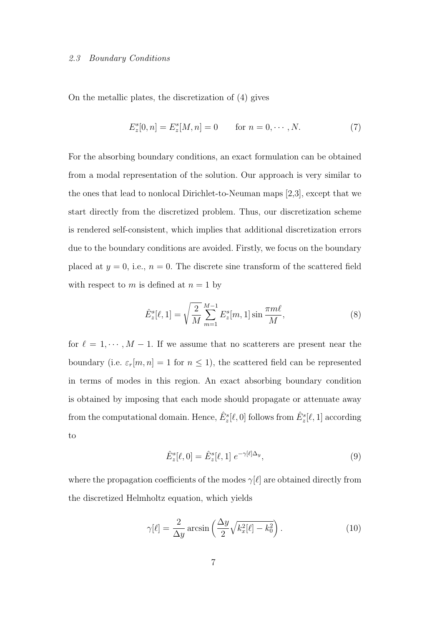#### 2.3 Boundary Conditions

On the metallic plates, the discretization of (4) gives

$$
E_z^s[0, n] = E_z^s[M, n] = 0 \quad \text{for } n = 0, \cdots, N. \tag{7}
$$

For the absorbing boundary conditions, an exact formulation can be obtained from a modal representation of the solution. Our approach is very similar to the ones that lead to nonlocal Dirichlet-to-Neuman maps [2,3], except that we start directly from the discretized problem. Thus, our discretization scheme is rendered self-consistent, which implies that additional discretization errors due to the boundary conditions are avoided. Firstly, we focus on the boundary placed at  $y = 0$ , i.e.,  $n = 0$ . The discrete sine transform of the scattered field with respect to m is defined at  $n = 1$  by

$$
\hat{E}_z^s[\ell,1] = \sqrt{\frac{2}{M}} \sum_{m=1}^{M-1} E_z^s[m,1] \sin \frac{\pi m \ell}{M},\tag{8}
$$

for  $\ell = 1, \dots, M - 1$ . If we assume that no scatterers are present near the boundary (i.e.  $\varepsilon_r[m,n] = 1$  for  $n \le 1$ ), the scattered field can be represented in terms of modes in this region. An exact absorbing boundary condition is obtained by imposing that each mode should propagate or attenuate away from the computational domain. Hence,  $\hat{E}^s_z[\ell,0]$  follows from  $\hat{E}^s_z[\ell,1]$  according to

$$
\hat{E}_z^s[\ell,0] = \hat{E}_z^s[\ell,1] \; e^{-\gamma[\ell]\Delta_y},\tag{9}
$$

where the propagation coefficients of the modes  $\gamma[\ell]$  are obtained directly from the discretized Helmholtz equation, which yields

$$
\gamma[\ell] = \frac{2}{\Delta y} \arcsin\left(\frac{\Delta y}{2} \sqrt{k_x^2[\ell] - k_0^2}\right). \tag{10}
$$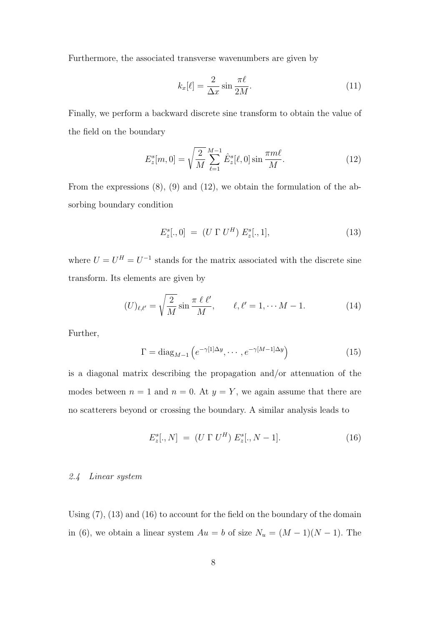Furthermore, the associated transverse wavenumbers are given by

$$
k_x[\ell] = \frac{2}{\Delta x} \sin \frac{\pi \ell}{2M}.
$$
\n(11)

Finally, we perform a backward discrete sine transform to obtain the value of the field on the boundary

$$
E_z^s[m,0] = \sqrt{\frac{2}{M}} \sum_{\ell=1}^{M-1} \hat{E}_z^s[\ell,0] \sin \frac{\pi m \ell}{M}.
$$
 (12)

From the expressions (8), (9) and (12), we obtain the formulation of the absorbing boundary condition

$$
E_z^s[.,0] = (U \Gamma U^H) E_z^s[.,1], \tag{13}
$$

where  $U = U^H = U^{-1}$  stands for the matrix associated with the discrete sine transform. Its elements are given by

$$
(U)_{\ell,\ell'} = \sqrt{\frac{2}{M}} \sin \frac{\pi \ell \ell'}{M}, \qquad \ell,\ell' = 1, \cdots M - 1.
$$
 (14)

Further,

$$
\Gamma = \text{diag}_{M-1} \left( e^{-\gamma [1] \Delta y}, \cdots, e^{-\gamma [M-1] \Delta y} \right) \tag{15}
$$

is a diagonal matrix describing the propagation and/or attenuation of the modes between  $n = 1$  and  $n = 0$ . At  $y = Y$ , we again assume that there are no scatterers beyond or crossing the boundary. A similar analysis leads to

$$
E_z^s[., N] = (U \Gamma U^H) E_z^s[., N-1]. \tag{16}
$$

#### 2.4 Linear system

Using (7), (13) and (16) to account for the field on the boundary of the domain in (6), we obtain a linear system  $Au = b$  of size  $N_u = (M - 1)(N - 1)$ . The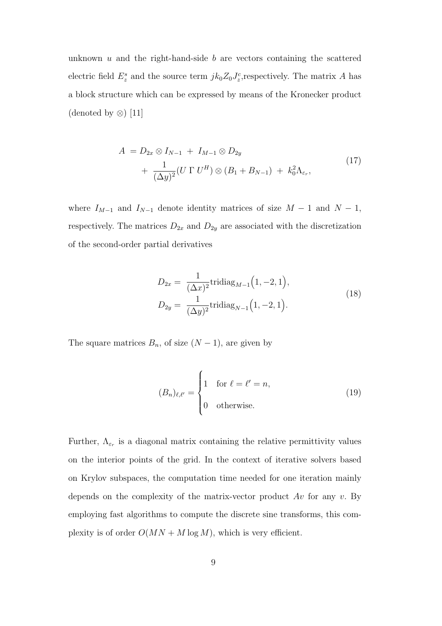unknown  $u$  and the right-hand-side  $b$  are vectors containing the scattered electric field  $E_z^s$  and the source term  $jk_0Z_0J_z^c$ , respectively. The matrix A has a block structure which can be expressed by means of the Kronecker product (denoted by ⊗) [11]

$$
A = D_{2x} \otimes I_{N-1} + I_{M-1} \otimes D_{2y}
$$
  
+ 
$$
\frac{1}{(\Delta y)^2} (U \Gamma U^H) \otimes (B_1 + B_{N-1}) + k_0^2 \Lambda_{\varepsilon_r},
$$
 (17)

where  $I_{M-1}$  and  $I_{N-1}$  denote identity matrices of size  $M-1$  and  $N-1$ , respectively. The matrices  $D_{2x}$  and  $D_{2y}$  are associated with the discretization of the second-order partial derivatives

$$
D_{2x} = \frac{1}{(\Delta x)^2} \text{tridiag}_{M-1}(1, -2, 1),
$$
  
\n
$$
D_{2y} = \frac{1}{(\Delta y)^2} \text{tridiag}_{N-1}(1, -2, 1).
$$
\n(18)

The square matrices  $B_n$ , of size  $(N-1)$ , are given by

$$
(B_n)_{\ell,\ell'} = \begin{cases} 1 & \text{for } \ell = \ell' = n, \\ 0 & \text{otherwise.} \end{cases} \tag{19}
$$

Further,  $\Lambda_{\varepsilon_r}$  is a diagonal matrix containing the relative permittivity values on the interior points of the grid. In the context of iterative solvers based on Krylov subspaces, the computation time needed for one iteration mainly depends on the complexity of the matrix-vector product  $Av$  for any v. By employing fast algorithms to compute the discrete sine transforms, this complexity is of order  $O(MN + M \log M)$ , which is very efficient.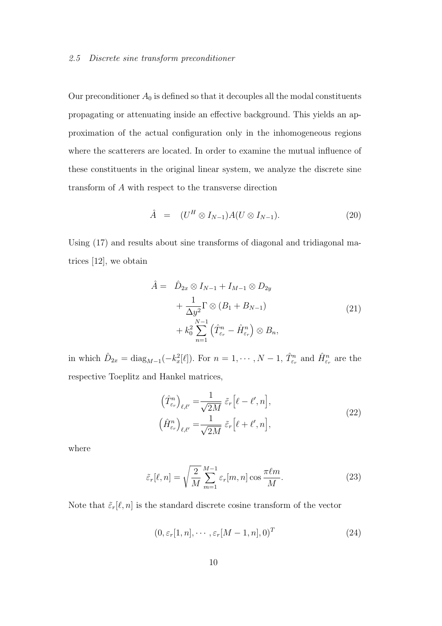#### 2.5 Discrete sine transform preconditioner

Our preconditioner  $A_0$  is defined so that it decouples all the modal constituents propagating or attenuating inside an effective background. This yields an approximation of the actual configuration only in the inhomogeneous regions where the scatterers are located. In order to examine the mutual influence of these constituents in the original linear system, we analyze the discrete sine transform of A with respect to the transverse direction

$$
\hat{A} = (U^H \otimes I_{N-1}) A (U \otimes I_{N-1}). \tag{20}
$$

Using (17) and results about sine transforms of diagonal and tridiagonal matrices [12], we obtain

$$
\hat{A} = \hat{D}_{2x} \otimes I_{N-1} + I_{M-1} \otimes D_{2y} \n+ \frac{1}{\Delta y^2} \Gamma \otimes (B_1 + B_{N-1}) \n+ k_0^2 \sum_{n=1}^{N-1} (\hat{T}_{\varepsilon_r}^n - \hat{H}_{\varepsilon_r}^n) \otimes B_n,
$$
\n(21)

in which  $\hat{D}_{2x} = \text{diag}_{M-1}(-k_x^2[\ell])$ . For  $n = 1, \dots, N-1$ ,  $\hat{T}_{\varepsilon_r}^n$  and  $\hat{H}_{\varepsilon_r}^n$  are the respective Toeplitz and Hankel matrices,

$$
\left(\hat{T}_{\varepsilon_r}^n\right)_{\ell,\ell'} = \frac{1}{\sqrt{2M}} \,\tilde{\varepsilon}_r \left[\ell - \ell', n\right],
$$
\n
$$
\left(\hat{H}_{\varepsilon_r}^n\right)_{\ell,\ell'} = \frac{1}{\sqrt{2M}} \,\tilde{\varepsilon}_r \left[\ell + \ell', n\right],
$$
\n(22)

where

$$
\tilde{\varepsilon}_r[\ell, n] = \sqrt{\frac{2}{M}} \sum_{m=1}^{M-1} \varepsilon_r[m, n] \cos \frac{\pi \ell m}{M}.
$$
\n(23)

Note that  $\tilde{\varepsilon}_r[\ell, n]$  is the standard discrete cosine transform of the vector

$$
(0, \varepsilon_r[1, n], \cdots, \varepsilon_r[M-1, n], 0)^T
$$
 (24)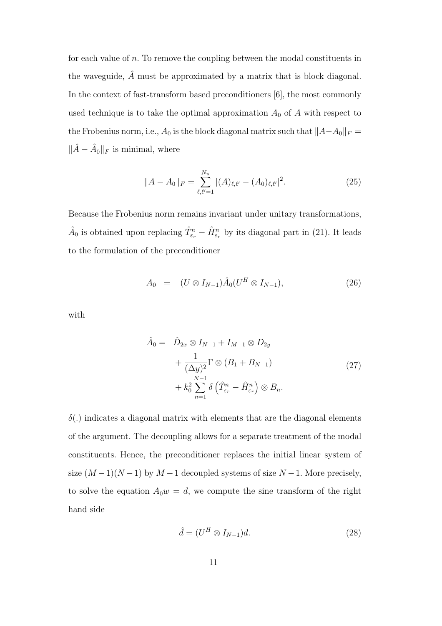for each value of n. To remove the coupling between the modal constituents in the waveguide,  $\hat{A}$  must be approximated by a matrix that is block diagonal. In the context of fast-transform based preconditioners [6], the most commonly used technique is to take the optimal approximation  $A_0$  of A with respect to the Frobenius norm, i.e.,  $A_0$  is the block diagonal matrix such that  $||A-A_0||_F =$  $\|\hat{A} - \hat{A}_0\|_F$  is minimal, where

$$
||A - A_0||_F = \sum_{\ell,\ell'=1}^{N_u} |(A)_{\ell,\ell'} - (A_0)_{\ell,\ell'}|^2.
$$
 (25)

Because the Frobenius norm remains invariant under unitary transformations,  $\hat{A}_0$  is obtained upon replacing  $\hat{T}_{\varepsilon_r}^n - \hat{H}_{\varepsilon_r}^n$  by its diagonal part in (21). It leads to the formulation of the preconditioner

$$
A_0 = (U \otimes I_{N-1}) \hat{A}_0 (U^H \otimes I_{N-1}), \qquad (26)
$$

with

$$
\hat{A}_0 = \hat{D}_{2x} \otimes I_{N-1} + I_{M-1} \otimes D_{2y} \n+ \frac{1}{(\Delta y)^2} \Gamma \otimes (B_1 + B_{N-1}) \n+ k_0^2 \sum_{n=1}^{N-1} \delta \left( \hat{T}_{\varepsilon_r}^n - \hat{H}_{\varepsilon_r}^n \right) \otimes B_n.
$$
\n(27)

 $\delta(.)$  indicates a diagonal matrix with elements that are the diagonal elements of the argument. The decoupling allows for a separate treatment of the modal constituents. Hence, the preconditioner replaces the initial linear system of size  $(M-1)(N-1)$  by  $M-1$  decoupled systems of size  $N-1$ . More precisely, to solve the equation  $A_0w = d$ , we compute the sine transform of the right hand side

$$
\hat{d} = (U^H \otimes I_{N-1})d. \tag{28}
$$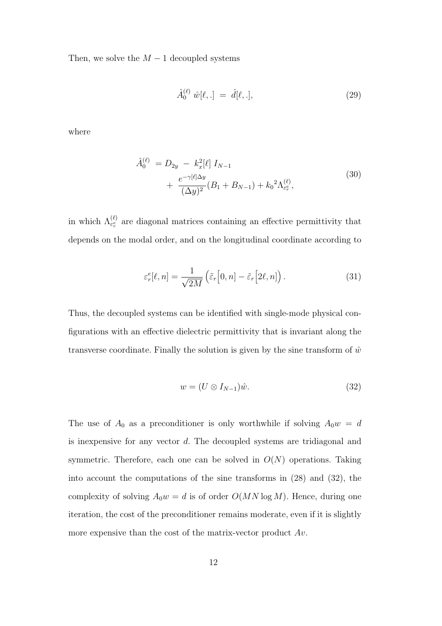Then, we solve the  $M-1$  decoupled systems

$$
\hat{A}_0^{(\ell)} \ \hat{w}[\ell, .] = \ \hat{d}[\ell, .], \tag{29}
$$

where

$$
\hat{A}_0^{(\ell)} = D_{2y} - k_x^2 [\ell] I_{N-1} \n+ \frac{e^{-\gamma[\ell]\Delta y}}{(\Delta y)^2} (B_1 + B_{N-1}) + k_0^2 \Lambda_{\varepsilon_r^e}^{(\ell)},
$$
\n(30)

in which  $\Lambda_{\varepsilon_r^e}^{(\ell)}$  are diagonal matrices containing an effective permittivity that depends on the modal order, and on the longitudinal coordinate according to

$$
\varepsilon_r^e[\ell, n] = \frac{1}{\sqrt{2M}} \left( \tilde{\varepsilon}_r \left[ 0, n \right] - \tilde{\varepsilon}_r \left[ 2\ell, n \right] \right). \tag{31}
$$

Thus, the decoupled systems can be identified with single-mode physical configurations with an effective dielectric permittivity that is invariant along the transverse coordinate. Finally the solution is given by the sine transform of  $\hat{w}$ 

$$
w = (U \otimes I_{N-1})\hat{w}.
$$
\n(32)

The use of  $A_0$  as a preconditioner is only worthwhile if solving  $A_0w = d$ is inexpensive for any vector d. The decoupled systems are tridiagonal and symmetric. Therefore, each one can be solved in  $O(N)$  operations. Taking into account the computations of the sine transforms in (28) and (32), the complexity of solving  $A_0w = d$  is of order  $O(MN \log M)$ . Hence, during one iteration, the cost of the preconditioner remains moderate, even if it is slightly more expensive than the cost of the matrix-vector product  $Av$ .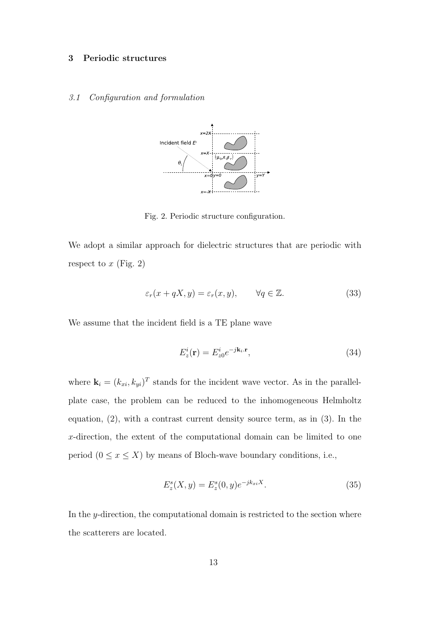#### 3 Periodic structures

#### 3.1 Configuration and formulation



Fig. 2. Periodic structure configuration.

We adopt a similar approach for dielectric structures that are periodic with respect to  $x$  (Fig. 2)

$$
\varepsilon_r(x + qX, y) = \varepsilon_r(x, y), \qquad \forall q \in \mathbb{Z}.
$$
 (33)

We assume that the incident field is a TE plane wave

$$
E_z^i(\mathbf{r}) = E_{z0}^i e^{-j\mathbf{k}_i \cdot \mathbf{r}},\tag{34}
$$

where  $\mathbf{k}_i = (k_{xi}, k_{yi})^T$  stands for the incident wave vector. As in the parallelplate case, the problem can be reduced to the inhomogeneous Helmholtz equation, (2), with a contrast current density source term, as in (3). In the x-direction, the extent of the computational domain can be limited to one period  $(0 \le x \le X)$  by means of Bloch-wave boundary conditions, i.e.,

$$
E_z^s(X, y) = E_z^s(0, y)e^{-jk_{xi}X}.
$$
\n(35)

In the y-direction, the computational domain is restricted to the section where the scatterers are located.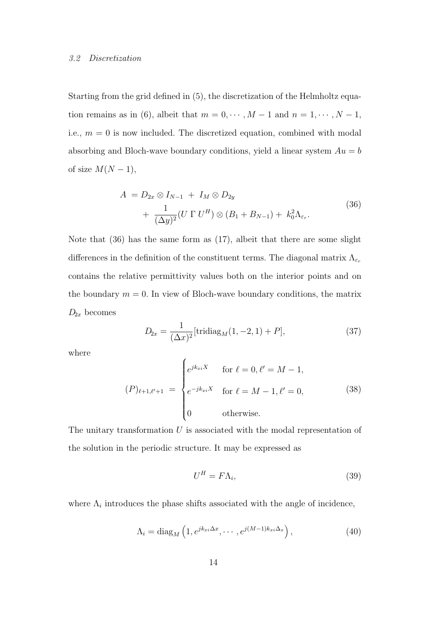#### 3.2 Discretization

Starting from the grid defined in (5), the discretization of the Helmholtz equation remains as in (6), albeit that  $m = 0, \dots, M - 1$  and  $n = 1, \dots, N - 1$ , i.e.,  $m = 0$  is now included. The discretized equation, combined with modal absorbing and Bloch-wave boundary conditions, yield a linear system  $Au = b$ of size  $M(N-1)$ ,

$$
A = D_{2x} \otimes I_{N-1} + I_M \otimes D_{2y}
$$
  
+ 
$$
\frac{1}{(\Delta y)^2} (U \Gamma U^H) \otimes (B_1 + B_{N-1}) + k_0^2 \Lambda_{\varepsilon_r}.
$$
 (36)

Note that (36) has the same form as (17), albeit that there are some slight differences in the definition of the constituent terms. The diagonal matrix  $\Lambda_{\varepsilon_r}$ contains the relative permittivity values both on the interior points and on the boundary  $m = 0$ . In view of Bloch-wave boundary conditions, the matrix  $D_{2x}$  becomes

$$
D_{2x} = \frac{1}{(\Delta x)^2} [\text{tridiag}_M(1, -2, 1) + P], \tag{37}
$$

where

$$
(P)_{\ell+1,\ell'+1} = \begin{cases} e^{jk_{xi}X} & \text{for } \ell = 0, \ell' = M - 1, \\ e^{-jk_{xi}X} & \text{for } \ell = M - 1, \ell' = 0, \\ 0 & \text{otherwise.} \end{cases}
$$
 (38)

The unitary transformation  $U$  is associated with the modal representation of the solution in the periodic structure. It may be expressed as

$$
U^H = F\Lambda_i,\tag{39}
$$

where  $\Lambda_i$  introduces the phase shifts associated with the angle of incidence,

$$
\Lambda_i = \text{diag}_M \left( 1, e^{jk_{xi}\Delta x}, \cdots, e^{j(M-1)k_{xi}\Delta x} \right),\tag{40}
$$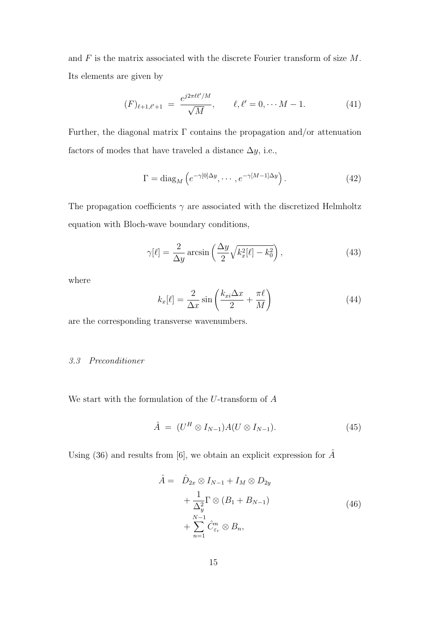and  $F$  is the matrix associated with the discrete Fourier transform of size  $M$ . Its elements are given by

$$
(F)_{\ell+1,\ell'+1} = \frac{e^{j2\pi\ell\ell'/M}}{\sqrt{M}}, \qquad \ell,\ell'=0,\cdots M-1.
$$
 (41)

Further, the diagonal matrix  $\Gamma$  contains the propagation and/or attenuation factors of modes that have traveled a distance  $\Delta y$ , i.e.,

$$
\Gamma = \text{diag}_{M} \left( e^{-\gamma[0]\Delta y}, \cdots, e^{-\gamma[M-1]\Delta y} \right). \tag{42}
$$

The propagation coefficients  $\gamma$  are associated with the discretized Helmholtz equation with Bloch-wave boundary conditions,

$$
\gamma[\ell] = \frac{2}{\Delta y} \arcsin\left(\frac{\Delta y}{2} \sqrt{k_x^2[\ell] - k_0^2}\right),\tag{43}
$$

where

$$
k_x[\ell] = \frac{2}{\Delta x} \sin\left(\frac{k_{xi}\Delta x}{2} + \frac{\pi \ell}{M}\right)
$$
(44)

are the corresponding transverse wavenumbers.

#### 3.3 Preconditioner

We start with the formulation of the  $U$ -transform of  $A$ 

$$
\hat{A} = (U^H \otimes I_{N-1})A(U \otimes I_{N-1}). \tag{45}
$$

Using (36) and results from [6], we obtain an explicit expression for  $\hat{A}$ 

$$
\hat{A} = \hat{D}_{2x} \otimes I_{N-1} + I_M \otimes D_{2y} \n+ \frac{1}{\Delta_y^2} \Gamma \otimes (B_1 + B_{N-1}) \n+ \sum_{n=1}^{N-1} \hat{C}_{\varepsilon_r}^n \otimes B_n,
$$
\n(46)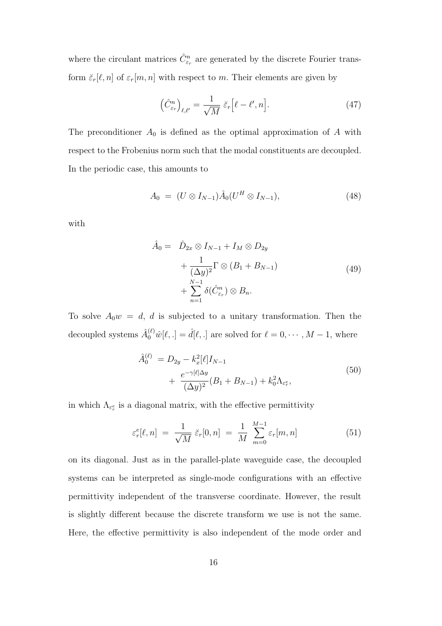where the circulant matrices  $\hat{C}^n_{\varepsilon_r}$  are generated by the discrete Fourier transform  $\breve{\varepsilon}_r[\ell,n]$  of  $\varepsilon_r[m,n]$  with respect to m. Their elements are given by

$$
\left(\hat{C}_{\varepsilon_r}^n\right)_{\ell,\ell'} = \frac{1}{\sqrt{M}} \, \check{\varepsilon}_r \big[\ell - \ell', n\big].\tag{47}
$$

The preconditioner  $A_0$  is defined as the optimal approximation of A with respect to the Frobenius norm such that the modal constituents are decoupled. In the periodic case, this amounts to

$$
A_0 = (U \otimes I_{N-1})\hat{A}_0 (U^H \otimes I_{N-1}), \tag{48}
$$

with

$$
\hat{A}_0 = \hat{D}_{2x} \otimes I_{N-1} + I_M \otimes D_{2y} \n+ \frac{1}{(\Delta y)^2} \Gamma \otimes (B_1 + B_{N-1}) \n+ \sum_{n=1}^{N-1} \delta(\hat{C}_{\varepsilon_r}^n) \otimes B_n.
$$
\n(49)

To solve  $A_0w = d$ , d is subjected to a unitary transformation. Then the decoupled systems  $\hat{A}_0^{(\ell)}\hat{w}[\ell, .] = \hat{d}[\ell, .]$  are solved for  $\ell = 0, \cdots, M - 1$ , where

$$
\hat{A}_0^{(\ell)} = D_{2y} - k_x^2 [\ell] I_{N-1} \n+ \frac{e^{-\gamma[\ell] \Delta y}}{(\Delta y)^2} (B_1 + B_{N-1}) + k_0^2 \Lambda_{\varepsilon_r^e},
$$
\n(50)

in which  $\Lambda_{\varepsilon_r^e}$  is a diagonal matrix, with the effective permittivity

$$
\varepsilon_r^e[\ell, n] = \frac{1}{\sqrt{M}} \, \breve{\varepsilon}_r[0, n] = \frac{1}{M} \sum_{m=0}^{M-1} \varepsilon_r[m, n] \tag{51}
$$

on its diagonal. Just as in the parallel-plate waveguide case, the decoupled systems can be interpreted as single-mode configurations with an effective permittivity independent of the transverse coordinate. However, the result is slightly different because the discrete transform we use is not the same. Here, the effective permittivity is also independent of the mode order and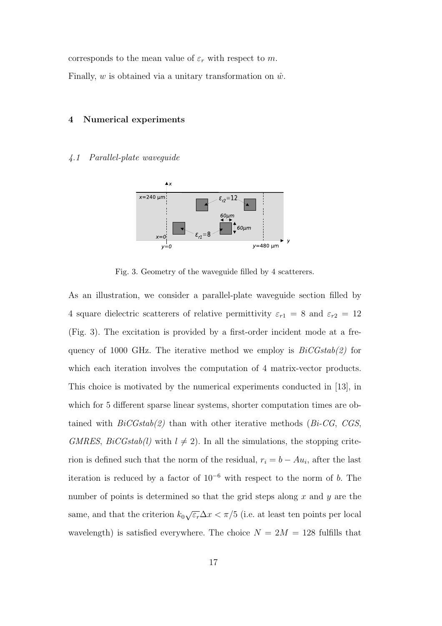corresponds to the mean value of  $\varepsilon_r$  with respect to m. Finally,  $w$  is obtained via a unitary transformation on  $\hat{w}$ .

#### 4 Numerical experiments

#### 4.1 Parallel-plate waveguide



Fig. 3. Geometry of the waveguide filled by 4 scatterers.

As an illustration, we consider a parallel-plate waveguide section filled by 4 square dielectric scatterers of relative permittivity  $\varepsilon_{r1} = 8$  and  $\varepsilon_{r2} = 12$ (Fig. 3). The excitation is provided by a first-order incident mode at a frequency of 1000 GHz. The iterative method we employ is  $BiCGstab(2)$  for which each iteration involves the computation of 4 matrix-vector products. This choice is motivated by the numerical experiments conducted in [13], in which for 5 different sparse linear systems, shorter computation times are obtained with  $BiCGstab(2)$  than with other iterative methods (Bi-CG, CGS, GMRES,  $BiCGstab(l)$  with  $l \neq 2$ ). In all the simulations, the stopping criterion is defined such that the norm of the residual,  $r_i = b - Au_i$ , after the last iteration is reduced by a factor of  $10^{-6}$  with respect to the norm of b. The number of points is determined so that the grid steps along  $x$  and  $y$  are the same, and that the criterion  $k_0\sqrt{\varepsilon_r}\Delta x < \pi/5$  (i.e. at least ten points per local wavelength) is satisfied everywhere. The choice  $N = 2M = 128$  fulfills that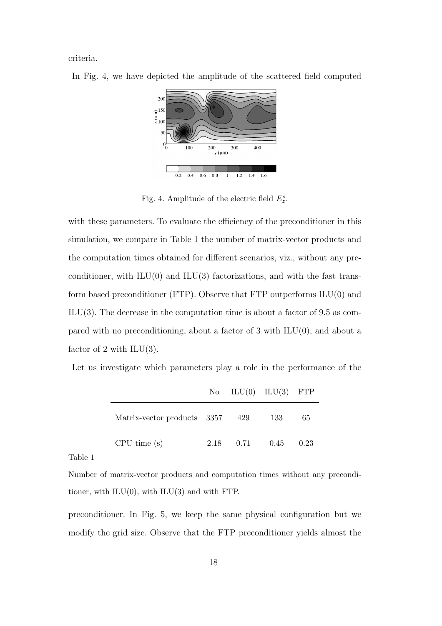criteria.



In Fig. 4, we have depicted the amplitude of the scattered field computed

Fig. 4. Amplitude of the electric field  $E_z^s$ .

with these parameters. To evaluate the efficiency of the preconditioner in this simulation, we compare in Table 1 the number of matrix-vector products and the computation times obtained for different scenarios, viz., without any preconditioner, with  $ILU(0)$  and  $ILU(3)$  factorizations, and with the fast transform based preconditioner (FTP). Observe that FTP outperforms ILU(0) and  $ILU(3)$ . The decrease in the computation time is about a factor of 9.5 as compared with no preconditioning, about a factor of  $3$  with  $ILU(0)$ , and about a factor of 2 with  $ILU(3)$ .

|  |  |  |  |  |  |  |  |  |  | Let us investigate which parameters play a role in the performance of the |  |  |  |
|--|--|--|--|--|--|--|--|--|--|---------------------------------------------------------------------------|--|--|--|
|--|--|--|--|--|--|--|--|--|--|---------------------------------------------------------------------------|--|--|--|

|                                     |                  | No $ILU(0)$ $ILU(3)$ FTP |      |
|-------------------------------------|------------------|--------------------------|------|
| Matrix-vector products 3357 429 133 |                  |                          | 65   |
| CPU time(s)                         | $2.18$ 0.71 0.45 |                          | 0.23 |

Table 1

Number of matrix-vector products and computation times without any preconditioner, with  $ILU(0)$ , with  $ILU(3)$  and with FTP.

preconditioner. In Fig. 5, we keep the same physical configuration but we modify the grid size. Observe that the FTP preconditioner yields almost the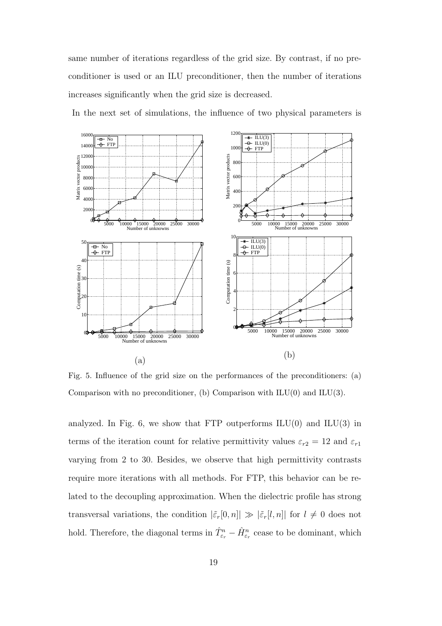same number of iterations regardless of the grid size. By contrast, if no preconditioner is used or an ILU preconditioner, then the number of iterations increases significantly when the grid size is decreased.

120 1600 ILU(3) ILU(0) FTP No FTP 1400 100 12000 Matrix vector products Matrix vector products Matrix vector products 80 10000 600 8000 6000 400 4000  $20$ 200  $\boldsymbol{\theta}$ 0 5000 10000 15000 20000 25000 30000 Number of unknowns 5000 10000 15000 20000 25000 30000 Number of unknowns 10 ILU(3) ILU(0) 50 No FTP  $\leftarrow$  FTP 8  $40$ Computation time (s) Computation time (s) Computation time (s) 6 30 4 20 2 10  $\boldsymbol{0}$ 5000 10000 15000 20000 25000 30000 Number of unknowns 0 5000 10000 15000 20000 25000 30000 Number of unknowns (b) (a)

In the next set of simulations, the influence of two physical parameters is

Fig. 5. Influence of the grid size on the performances of the preconditioners: (a) Comparison with no preconditioner, (b) Comparison with  $ILU(0)$  and  $ILU(3)$ .

analyzed. In Fig. 6, we show that FTP outperforms  $ILU(0)$  and  $ILU(3)$  in terms of the iteration count for relative permittivity values  $\varepsilon_{r2} = 12$  and  $\varepsilon_{r1}$ varying from 2 to 30. Besides, we observe that high permittivity contrasts require more iterations with all methods. For FTP, this behavior can be related to the decoupling approximation. When the dielectric profile has strong transversal variations, the condition  $|\tilde{\varepsilon}_r[0,n]| \gg |\tilde{\varepsilon}_r[l,n]|$  for  $l \neq 0$  does not hold. Therefore, the diagonal terms in  $\hat{T}_{\varepsilon_r}^n - \hat{H}_{\varepsilon_r}^n$  cease to be dominant, which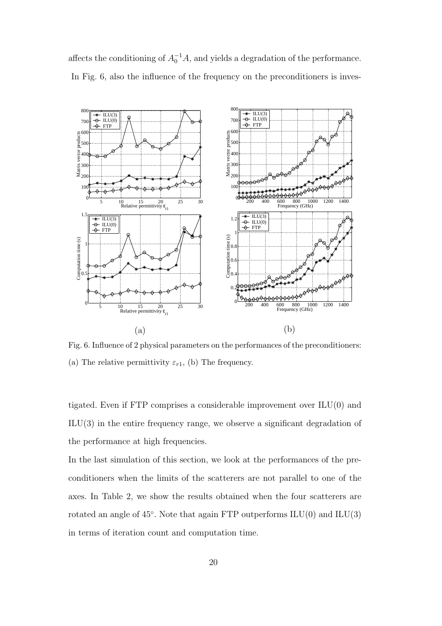affects the conditioning of  $A_0^{-1}A$ , and yields a degradation of the performance. In Fig. 6, also the influence of the frequency on the preconditioners is inves-



Fig. 6. Influence of 2 physical parameters on the performances of the preconditioners: (a) The relative permittivity  $\varepsilon_{r1}$ , (b) The frequency.

tigated. Even if FTP comprises a considerable improvement over ILU(0) and ILU(3) in the entire frequency range, we observe a significant degradation of the performance at high frequencies.

In the last simulation of this section, we look at the performances of the preconditioners when the limits of the scatterers are not parallel to one of the axes. In Table 2, we show the results obtained when the four scatterers are rotated an angle of  $45^{\circ}$ . Note that again FTP outperforms  $\text{ILU}(0)$  and  $\text{ILU}(3)$ in terms of iteration count and computation time.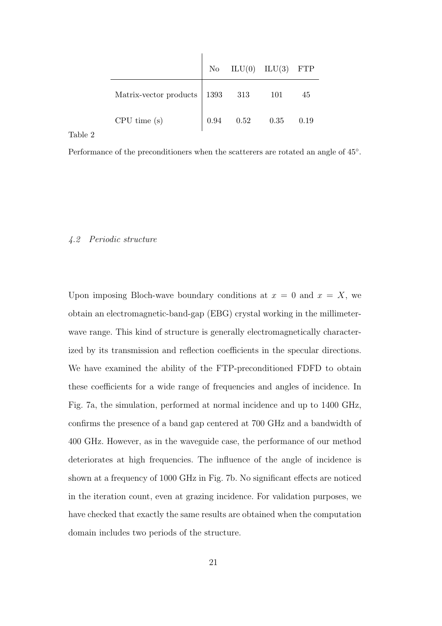|                                   |             | No $ILU(0)$ $ILU(3)$ FTP |      |
|-----------------------------------|-------------|--------------------------|------|
| Matrix-vector products   1393 313 |             | 101                      | 45   |
| CPU time(s)                       | $0.94$ 0.52 | 0.35                     | 0.19 |

Table 2

Performance of the preconditioners when the scatterers are rotated an angle of  $45^{\circ}$ .

#### 4.2 Periodic structure

Upon imposing Bloch-wave boundary conditions at  $x = 0$  and  $x = X$ , we obtain an electromagnetic-band-gap (EBG) crystal working in the millimeterwave range. This kind of structure is generally electromagnetically characterized by its transmission and reflection coefficients in the specular directions. We have examined the ability of the FTP-preconditioned FDFD to obtain these coefficients for a wide range of frequencies and angles of incidence. In Fig. 7a, the simulation, performed at normal incidence and up to 1400 GHz, confirms the presence of a band gap centered at 700 GHz and a bandwidth of 400 GHz. However, as in the waveguide case, the performance of our method deteriorates at high frequencies. The influence of the angle of incidence is shown at a frequency of 1000 GHz in Fig. 7b. No significant effects are noticed in the iteration count, even at grazing incidence. For validation purposes, we have checked that exactly the same results are obtained when the computation domain includes two periods of the structure.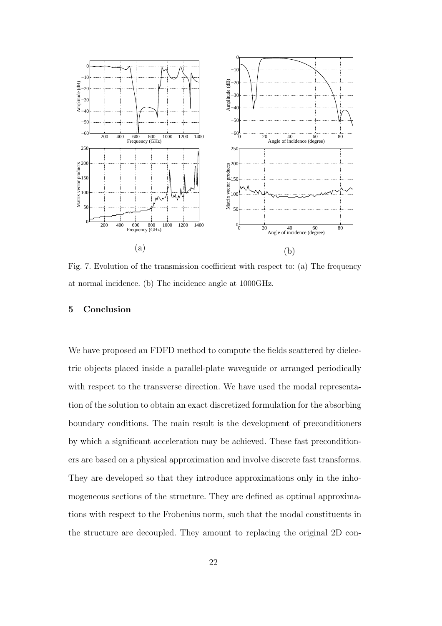

Fig. 7. Evolution of the transmission coefficient with respect to: (a) The frequency at normal incidence. (b) The incidence angle at 1000GHz.

#### 5 Conclusion

We have proposed an FDFD method to compute the fields scattered by dielectric objects placed inside a parallel-plate waveguide or arranged periodically with respect to the transverse direction. We have used the modal representation of the solution to obtain an exact discretized formulation for the absorbing boundary conditions. The main result is the development of preconditioners by which a significant acceleration may be achieved. These fast preconditioners are based on a physical approximation and involve discrete fast transforms. They are developed so that they introduce approximations only in the inhomogeneous sections of the structure. They are defined as optimal approximations with respect to the Frobenius norm, such that the modal constituents in the structure are decoupled. They amount to replacing the original 2D con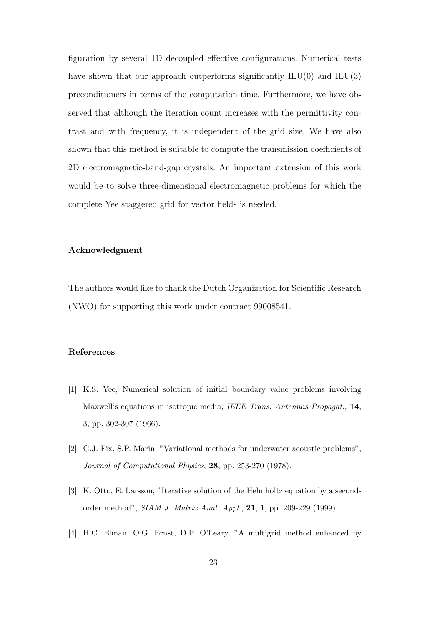figuration by several 1D decoupled effective configurations. Numerical tests have shown that our approach outperforms significantly  $ILU(0)$  and  $ILU(3)$ preconditioners in terms of the computation time. Furthermore, we have observed that although the iteration count increases with the permittivity contrast and with frequency, it is independent of the grid size. We have also shown that this method is suitable to compute the transmission coefficients of 2D electromagnetic-band-gap crystals. An important extension of this work would be to solve three-dimensional electromagnetic problems for which the complete Yee staggered grid for vector fields is needed.

#### Acknowledgment

The authors would like to thank the Dutch Organization for Scientific Research (NWO) for supporting this work under contract 99008541.

#### References

- [1] K.S. Yee, Numerical solution of initial boundary value problems involving Maxwell's equations in isotropic media, *IEEE Trans. Antennas Propagat.*, 14, 3, pp. 302-307 (1966).
- [2] G.J. Fix, S.P. Marin, "Variational methods for underwater acoustic problems", *Journal of Computational Physics*, 28, pp. 253-270 (1978).
- [3] K. Otto, E. Larsson, "Iterative solution of the Helmholtz equation by a secondorder method", *SIAM J. Matrix Anal. Appl.*, 21, 1, pp. 209-229 (1999).
- [4] H.C. Elman, O.G. Ernst, D.P. O'Leary, "A multigrid method enhanced by